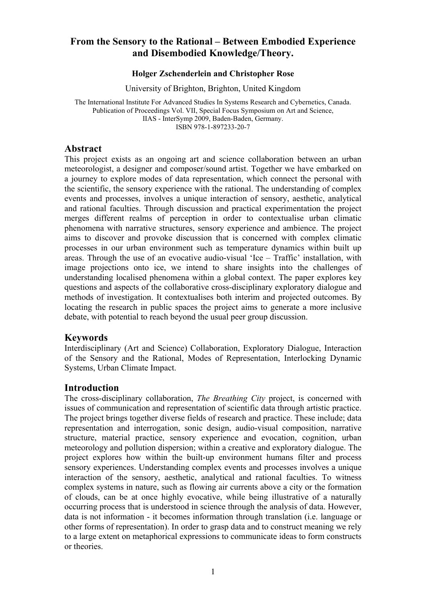# **From the Sensory to the Rational – Between Embodied Experience and Disembodied Knowledge/Theory.**

#### **Holger Zschenderlein and Christopher Rose**

University of Brighton, Brighton, United Kingdom

The International Institute For Advanced Studies In Systems Research and Cybernetics, Canada. Publication of Proceedings Vol. VII, Special Focus Symposium on Art and Science, IIAS - InterSymp 2009, Baden-Baden, Germany. ISBN 978-1-897233-20-7

### **Abstract**

This project exists as an ongoing art and science collaboration between an urban meteorologist, a designer and composer/sound artist. Together we have embarked on a journey to explore modes of data representation, which connect the personal with the scientific, the sensory experience with the rational. The understanding of complex events and processes, involves a unique interaction of sensory, aesthetic, analytical and rational faculties. Through discussion and practical experimentation the project merges different realms of perception in order to contextualise urban climatic phenomena with narrative structures, sensory experience and ambience. The project aims to discover and provoke discussion that is concerned with complex climatic processes in our urban environment such as temperature dynamics within built up areas. Through the use of an evocative audio-visual 'Ice – Traffic' installation, with image projections onto ice, we intend to share insights into the challenges of understanding localised phenomena within a global context. The paper explores key questions and aspects of the collaborative cross-disciplinary exploratory dialogue and methods of investigation. It contextualises both interim and projected outcomes. By locating the research in public spaces the project aims to generate a more inclusive debate, with potential to reach beyond the usual peer group discussion.

## **Keywords**

Interdisciplinary (Art and Science) Collaboration, Exploratory Dialogue, Interaction of the Sensory and the Rational, Modes of Representation, Interlocking Dynamic Systems, Urban Climate Impact.

## **Introduction**

The cross-disciplinary collaboration, *The Breathing City* project, is concerned with issues of communication and representation of scientific data through artistic practice. The project brings together diverse fields of research and practice. These include; data representation and interrogation, sonic design, audio-visual composition, narrative structure, material practice, sensory experience and evocation, cognition, urban meteorology and pollution dispersion; within a creative and exploratory dialogue. The project explores how within the built-up environment humans filter and process sensory experiences. Understanding complex events and processes involves a unique interaction of the sensory, aesthetic, analytical and rational faculties. To witness complex systems in nature, such as flowing air currents above a city or the formation of clouds, can be at once highly evocative, while being illustrative of a naturally occurring process that is understood in science through the analysis of data. However, data is not information - it becomes information through translation (i.e. language or other forms of representation). In order to grasp data and to construct meaning we rely to a large extent on metaphorical expressions to communicate ideas to form constructs or theories.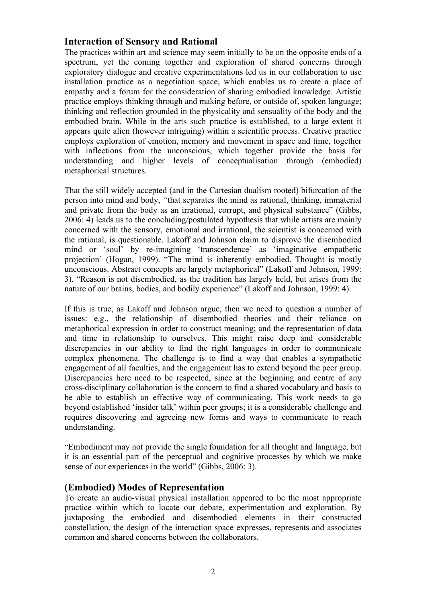## **Interaction of Sensory and Rational**

The practices within art and science may seem initially to be on the opposite ends of a spectrum, yet the coming together and exploration of shared concerns through exploratory dialogue and creative experimentations led us in our collaboration to use installation practice as a negotiation space, which enables us to create a place of empathy and a forum for the consideration of sharing embodied knowledge. Artistic practice employs thinking through and making before, or outside of, spoken language; thinking and reflection grounded in the physicality and sensuality of the body and the embodied brain. While in the arts such practice is established, to a large extent it appears quite alien (however intriguing) within a scientific process. Creative practice employs exploration of emotion, memory and movement in space and time, together with inflections from the unconscious, which together provide the basis for understanding and higher levels of conceptualisation through (embodied) metaphorical structures.

That the still widely accepted (and in the Cartesian dualism rooted) bifurcation of the person into mind and body, *"*that separates the mind as rational, thinking, immaterial and private from the body as an irrational, corrupt, and physical substance" (Gibbs, 2006: 4) leads us to the concluding/postulated hypothesis that while artists are mainly concerned with the sensory, emotional and irrational, the scientist is concerned with the rational, is questionable. Lakoff and Johnson claim to disprove the disembodied mind or 'soul' by re-imagining 'transcendence' as 'imaginative empathetic projection' (Hogan, 1999). "The mind is inherently embodied. Thought is mostly unconscious. Abstract concepts are largely metaphorical" (Lakoff and Johnson, 1999: 3). "Reason is not disembodied, as the tradition has largely held, but arises from the nature of our brains, bodies, and bodily experience" (Lakoff and Johnson, 1999: 4).

If this is true, as Lakoff and Johnson argue, then we need to question a number of issues: e.g., the relationship of disembodied theories and their reliance on metaphorical expression in order to construct meaning; and the representation of data and time in relationship to ourselves. This might raise deep and considerable discrepancies in our ability to find the right languages in order to communicate complex phenomena. The challenge is to find a way that enables a sympathetic engagement of all faculties, and the engagement has to extend beyond the peer group. Discrepancies here need to be respected, since at the beginning and centre of any cross-disciplinary collaboration is the concern to find a shared vocabulary and basis to be able to establish an effective way of communicating. This work needs to go beyond established 'insider talk' within peer groups; it is a considerable challenge and requires discovering and agreeing new forms and ways to communicate to reach understanding.

"Embodiment may not provide the single foundation for all thought and language, but it is an essential part of the perceptual and cognitive processes by which we make sense of our experiences in the world" (Gibbs, 2006: 3).

# **(Embodied) Modes of Representation**

To create an audio-visual physical installation appeared to be the most appropriate practice within which to locate our debate, experimentation and exploration. By juxtaposing the embodied and disembodied elements in their constructed constellation, the design of the interaction space expresses, represents and associates common and shared concerns between the collaborators.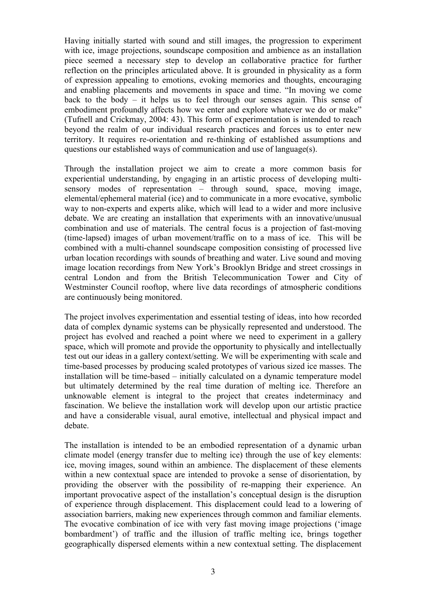Having initially started with sound and still images, the progression to experiment with ice, image projections, soundscape composition and ambience as an installation piece seemed a necessary step to develop an collaborative practice for further reflection on the principles articulated above. It is grounded in physicality as a form of expression appealing to emotions, evoking memories and thoughts, encouraging and enabling placements and movements in space and time. "In moving we come back to the body – it helps us to feel through our senses again. This sense of embodiment profoundly affects how we enter and explore whatever we do or make" (Tufnell and Crickmay, 2004: 43). This form of experimentation is intended to reach beyond the realm of our individual research practices and forces us to enter new territory. It requires re-orientation and re-thinking of established assumptions and questions our established ways of communication and use of language(s).

Through the installation project we aim to create a more common basis for experiential understanding, by engaging in an artistic process of developing multisensory modes of representation – through sound, space, moving image, elemental/ephemeral material (ice) and to communicate in a more evocative, symbolic way to non-experts and experts alike, which will lead to a wider and more inclusive debate. We are creating an installation that experiments with an innovative/unusual combination and use of materials. The central focus is a projection of fast-moving (time-lapsed) images of urban movement/traffic on to a mass of ice. This will be combined with a multi-channel soundscape composition consisting of processed live urban location recordings with sounds of breathing and water. Live sound and moving image location recordings from New York's Brooklyn Bridge and street crossings in central London and from the British Telecommunication Tower and City of Westminster Council rooftop, where live data recordings of atmospheric conditions are continuously being monitored.

The project involves experimentation and essential testing of ideas, into how recorded data of complex dynamic systems can be physically represented and understood. The project has evolved and reached a point where we need to experiment in a gallery space, which will promote and provide the opportunity to physically and intellectually test out our ideas in a gallery context/setting. We will be experimenting with scale and time-based processes by producing scaled prototypes of various sized ice masses. The installation will be time-based – initially calculated on a dynamic temperature model but ultimately determined by the real time duration of melting ice. Therefore an unknowable element is integral to the project that creates indeterminacy and fascination. We believe the installation work will develop upon our artistic practice and have a considerable visual, aural emotive, intellectual and physical impact and debate.

The installation is intended to be an embodied representation of a dynamic urban climate model (energy transfer due to melting ice) through the use of key elements: ice, moving images, sound within an ambience. The displacement of these elements within a new contextual space are intended to provoke a sense of disorientation, by providing the observer with the possibility of re-mapping their experience. An important provocative aspect of the installation's conceptual design is the disruption of experience through displacement. This displacement could lead to a lowering of association barriers, making new experiences through common and familiar elements. The evocative combination of ice with very fast moving image projections ('image bombardment') of traffic and the illusion of traffic melting ice, brings together geographically dispersed elements within a new contextual setting. The displacement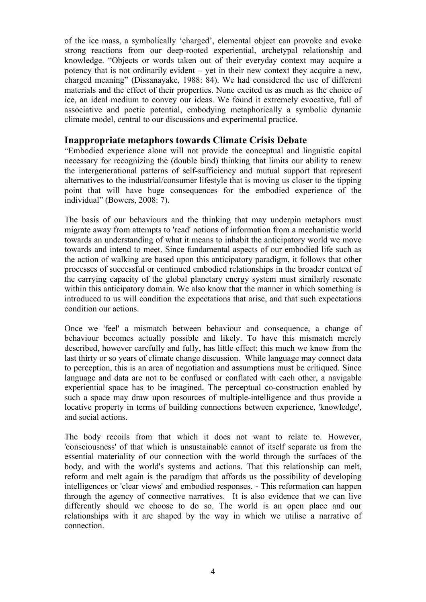of the ice mass, a symbolically 'charged', elemental object can provoke and evoke strong reactions from our deep-rooted experiential, archetypal relationship and knowledge. "Objects or words taken out of their everyday context may acquire a potency that is not ordinarily evident – yet in their new context they acquire a new, charged meaning" (Dissanayake, 1988: 84). We had considered the use of different materials and the effect of their properties. None excited us as much as the choice of ice, an ideal medium to convey our ideas. We found it extremely evocative, full of associative and poetic potential, embodying metaphorically a symbolic dynamic climate model, central to our discussions and experimental practice.

## **Inappropriate metaphors towards Climate Crisis Debate**

"Embodied experience alone will not provide the conceptual and linguistic capital necessary for recognizing the (double bind) thinking that limits our ability to renew the intergenerational patterns of self-sufficiency and mutual support that represent alternatives to the industrial/consumer lifestyle that is moving us closer to the tipping point that will have huge consequences for the embodied experience of the individual" (Bowers, 2008: 7).

The basis of our behaviours and the thinking that may underpin metaphors must migrate away from attempts to 'read' notions of information from a mechanistic world towards an understanding of what it means to inhabit the anticipatory world we move towards and intend to meet. Since fundamental aspects of our embodied life such as the action of walking are based upon this anticipatory paradigm, it follows that other processes of successful or continued embodied relationships in the broader context of the carrying capacity of the global planetary energy system must similarly resonate within this anticipatory domain. We also know that the manner in which something is introduced to us will condition the expectations that arise, and that such expectations condition our actions.

Once we 'feel' a mismatch between behaviour and consequence, a change of behaviour becomes actually possible and likely. To have this mismatch merely described, however carefully and fully, has little effect; this much we know from the last thirty or so years of climate change discussion. While language may connect data to perception, this is an area of negotiation and assumptions must be critiqued. Since language and data are not to be confused or conflated with each other, a navigable experiential space has to be imagined. The perceptual co-construction enabled by such a space may draw upon resources of multiple-intelligence and thus provide a locative property in terms of building connections between experience, 'knowledge', and social actions.

The body recoils from that which it does not want to relate to. However, 'consciousness' of that which is unsustainable cannot of itself separate us from the essential materiality of our connection with the world through the surfaces of the body, and with the world's systems and actions. That this relationship can melt, reform and melt again is the paradigm that affords us the possibility of developing intelligences or 'clear views' and embodied responses. - This reformation can happen through the agency of connective narratives. It is also evidence that we can live differently should we choose to do so. The world is an open place and our relationships with it are shaped by the way in which we utilise a narrative of connection.